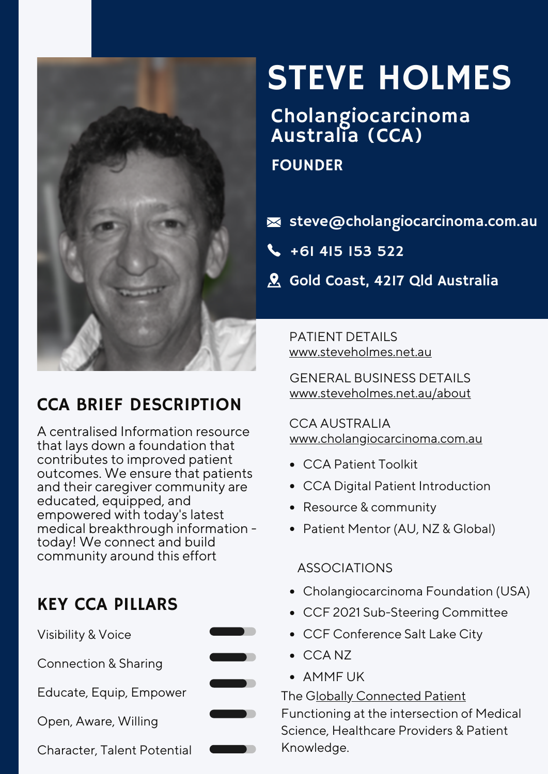

# CCA BRIEF DESCRIPTION

A centralised Information resource that lays down a foundation that contributes to improved patient outcomes. We ensure that patients and their caregiver community are educated, equipped, and empowered with today's latest medical breakthrough information today! We connect and build community around this effort

## KEY CCA PILLARS



# STEVE HOLMES

# Cholangiocarcinoma Australia (CCA)

#### FOUNDER

- $\blacktriangleright$ steve@cholangiocarcinoma.com.au
- $\begin{array}{cc} \text{+61 } 415 & 153 & 522 \end{array}$
- **A** Gold Coast, 4217 Qld Australia

PATIENT DETAILS [www.steveholmes.net.au](http://www.steveholmes.net.au/)

GENERAL BUSINESS DETAILS [www.steveholmes.net.au/about](http://www.steveholmes.net.au/about)

CCA AUSTRALIA [www.cholangiocarcinoma.com.au](http://www.cholangiocarcinoma.com.au/)

- CCA Patient Toolkit
- CCA Digital Patient Introduction
- Resource & community
- Patient Mentor (AU, NZ & Global)

#### ASSOCIATIONS

- Cholangiocarcinoma Foundation (USA)
- CCF 2021 Sub-Steering Committee
- CCF Conference Salt Lake City
- CCA NZ
- AMMF UK

The Globally [Connected](https://globallyconnectedpatient.com/) Patient Functioning at the intersection of Medical Science, Healthcare Providers & Patient Knowledge.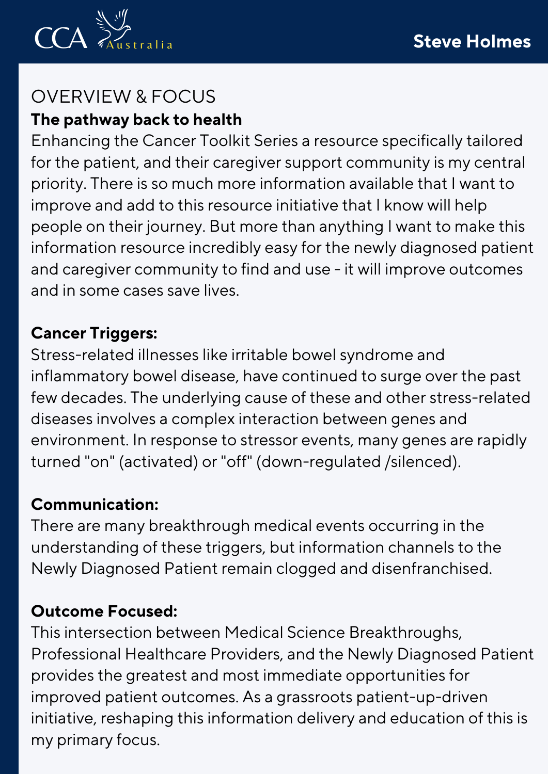

## OVERVIEW & FOCUS **The pathway back to health**

Enhancing the Cancer Toolkit Series a resource specifically tailored for the patient, and their caregiver support community is my central priority. There is so much more information available that I want to improve and add to this resource initiative that I know will help people on their journey. But more than anything I want to make this information resource incredibly easy for the newly diagnosed patient and caregiver community to find and use - it will improve outcomes and in some cases save lives.

### **Cancer Triggers:**

Stress-related illnesses like irritable bowel syndrome and inflammatory bowel disease, have continued to surge over the past few decades. The underlying cause of these and other stress-related diseases involves a complex interaction between genes and environment. In response to stressor events, many genes are rapidly turned "on" (activated) or "off" (down-regulated /silenced).

### **Communication:**

There are many breakthrough medical events occurring in the understanding of these triggers, but information channels to the Newly Diagnosed Patient remain clogged and disenfranchised.

## **Outcome Focused:**

This intersection between Medical Science Breakthroughs, Professional Healthcare Providers, and the Newly Diagnosed Patient provides the greatest and most immediate opportunities for improved patient outcomes. As a grassroots patient-up-driven initiative, reshaping this information delivery and education of this is my primary focus.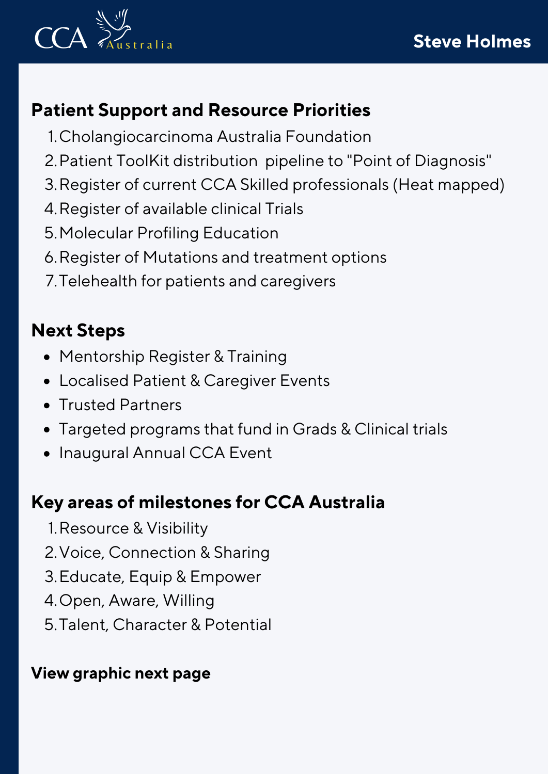

# **Patient Support and Resource Priorities**

- Cholangiocarcinoma Australia Foundation 1.
- Patient ToolKit distribution pipeline to "Point of Diagnosis" 2.
- Register of current CCA Skilled professionals (Heat mapped) 3.
- Register of available clinical Trials 4.
- Molecular Profiling Education 5.
- Register of Mutations and treatment options 6.
- Telehealth for patients and caregivers 7.

# **Next Steps**

- Mentorship Register & Training
- Localised Patient & Caregiver Events
- Trusted Partners
- Targeted programs that fund in Grads & Clinical trials
- Inaugural Annual CCA Event

## **Key areas of milestones for CCA Australia**

- 1. Resource & Visibility
- 2. Voice, Connection & Sharing
- 3. Educate, Equip & Empower
- 4. Open, Aware, Willing
- 5.Talent, Character & Potential

## **View graphic next page**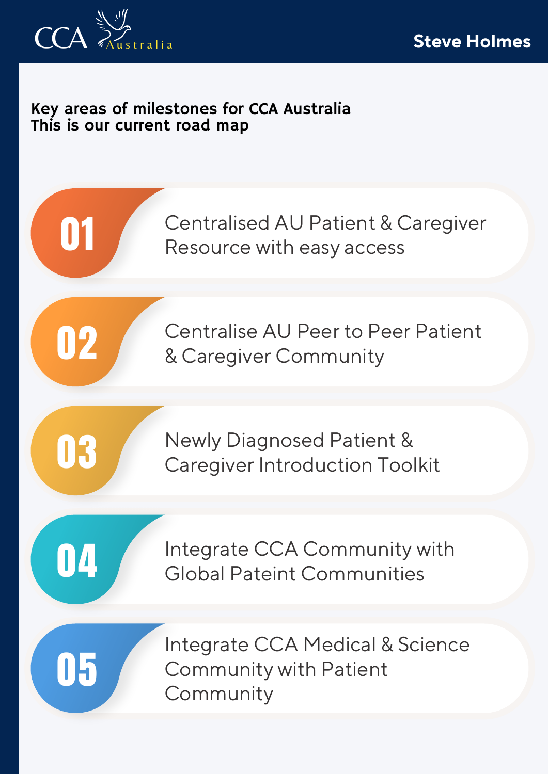

#### Key areas of milestones for CCA Australia This is our current road map

Centralised AU Patient & Caregiver Resource with easy access

Centralise AU Peer to Peer Patient & Caregiver Community

03

01

02

Newly Diagnosed Patient & Caregiver Introduction Toolkit

04

05

Integrate CCA Community with Global Pateint Communities

Integrate CCA Medical & Science Community with Patient **Community**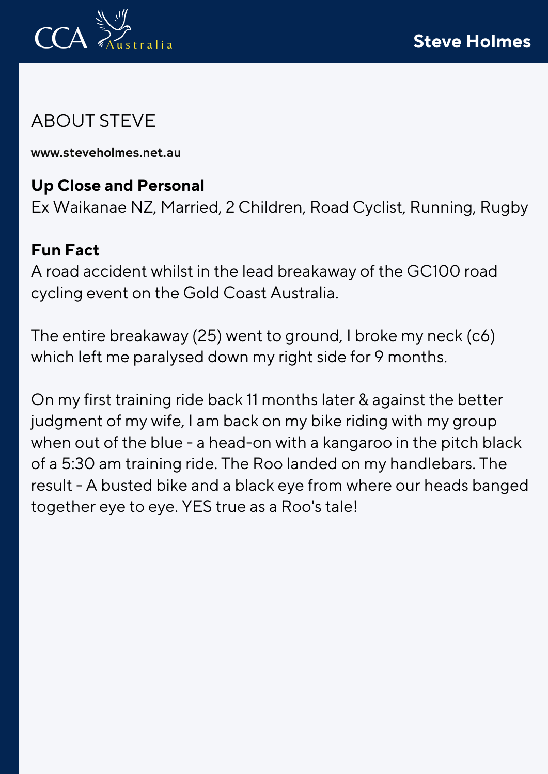

# ABOUT STEVE

[www.steveholmes.net.au](http://www.steveholmes.net.au/)

### **Up Close and Personal**

Ex Waikanae NZ, Married, 2 Children, Road Cyclist, Running, Rugby

#### **Fun Fact**

A road accident whilst in the lead breakaway of the GC100 road cycling event on the Gold Coast Australia.

The entire breakaway (25) went to ground, I broke my neck (c6) which left me paralysed down my right side for 9 months.

On my first training ride back 11 months later & against the better judgment of my wife, I am back on my bike riding with my group when out of the blue - a head-on with a kangaroo in the pitch black of a 5:30 am training ride. The Roo landed on my handlebars. The result - A busted bike and a black eye from where our heads banged together eye to eye. YES true as a Roo's tale!